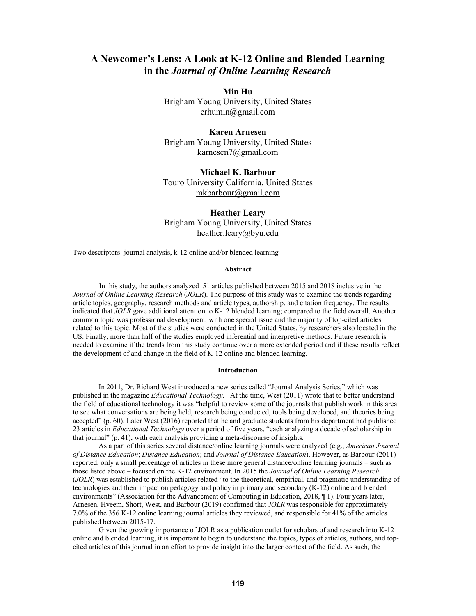# **A Newcomer's Lens: A Look at K-12 Online and Blended Learning in the** *Journal of Online Learning Research*

**Min Hu**  Brigham Young University, United States crhumin@gmail.com

**Karen Arnesen**  Brigham Young University, United States karnesen7@gmail.com

**Michael K. Barbour**  Touro University California, United States mkbarbour@gmail.com

**Heather Leary**  Brigham Young University, United States heather.leary@byu.edu

Two descriptors: journal analysis, k-12 online and/or blended learning

## **Abstract**

In this study, the authors analyzed 51 articles published between 2015 and 2018 inclusive in the *Journal of Online Learning Research* (*JOLR*). The purpose of this study was to examine the trends regarding article topics, geography, research methods and article types, authorship, and citation frequency. The results indicated that *JOLR* gave additional attention to K-12 blended learning; compared to the field overall. Another common topic was professional development, with one special issue and the majority of top-cited articles related to this topic. Most of the studies were conducted in the United States, by researchers also located in the US. Finally, more than half of the studies employed inferential and interpretive methods. Future research is needed to examine if the trends from this study continue over a more extended period and if these results reflect the development of and change in the field of K-12 online and blended learning.

### **Introduction**

In 2011, Dr. Richard West introduced a new series called "Journal Analysis Series," which was published in the magazine *Educational Technology.* At the time, West (2011) wrote that to better understand the field of educational technology it was "helpful to review some of the journals that publish work in this area to see what conversations are being held, research being conducted, tools being developed, and theories being accepted" (p. 60). Later West (2016) reported that he and graduate students from his department had published 23 articles in *Educational Technology* over a period of five years, "each analyzing a decade of scholarship in that journal" (p. 41), with each analysis providing a meta-discourse of insights.

As a part of this series several distance/online learning journals were analyzed (e.g., *American Journal of Distance Education*; *Distance Education*; and *Journal of Distance Education*). However, as Barbour (2011) reported, only a small percentage of articles in these more general distance/online learning journals – such as those listed above – focused on the K-12 environment. In 2015 the *Journal of Online Learning Research* (*JOLR*) was established to publish articles related "to the theoretical, empirical, and pragmatic understanding of technologies and their impact on pedagogy and policy in primary and secondary (K-12) online and blended environments" (Association for the Advancement of Computing in Education, 2018, ¶ 1). Four years later, Arnesen, Hveem, Short, West, and Barbour (2019) confirmed that *JOLR* was responsible for approximately 7.0% of the 356 K-12 online learning journal articles they reviewed, and responsible for 41% of the articles published between 2015-17.

Given the growing importance of JOLR as a publication outlet for scholars of and research into K-12 online and blended learning, it is important to begin to understand the topics, types of articles, authors, and topcited articles of this journal in an effort to provide insight into the larger context of the field. As such, the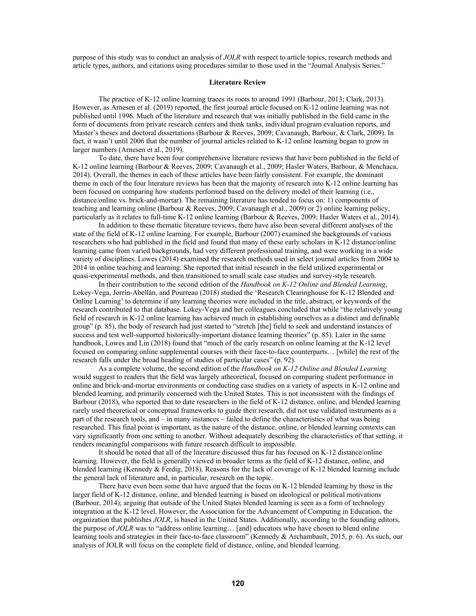purpose of this study was to conduct an analysis of *JOLR* with respect to article topics, research methods and article types, authors, and citations using procedures similar to those used in the "Journal Analysis Series."

### **Literature Review**

The practice of K-12 online learning traces its roots to around 1991 (Barbour, 2013; Clark, 2013). However, as Arnesen et al. (2019) reported, the first journal article focused on K-12 online learning was not published until 1996. Much of the literature and research that was initially published in the field came in the form of documents from private research centers and think tanks, individual program evaluation reports, and Master's theses and doctoral dissertations (Barbour & Reeves, 2009; Cavanaugh, Barbour, & Clark, 2009). In fact, it wasn't until 2006 that the number of journal articles related to K-12 online learning began to grow in larger numbers (Arnesen et al., 2019).

To date, there have been four comprehensive literature reviews that have been published in the field of K-12 online learning (Barbour & Reeves, 2009; Cavanaugh et al., 2009; Hasler Waters, Barbour, & Menchaca, 2014). Overall, the themes in each of these articles have been fairly consistent. For example, the dominant theme in each of the four literature reviews has been that the majority of research into K-12 online learning has been focused on comparing how students performed based on the delivery model of their learning (i.e., distance/online vs. brick-and-mortar). The remaining literature has tended to focus on: 1) components of teaching and learning online (Barbour & Reeves, 2009; Cavanaugh et al., 2009) or 2) online learning policy, particularly as it relates to full-time K-12 online learning (Barbour & Reeves, 2009; Hasler Waters et al., 2014).

In addition to these thematic literature reviews, there have also been several different analyses of the state of the field of K-12 online learning. For example, Barbour (2007) examined the backgrounds of various researchers who had published in the field and found that many of these early scholars in K-12 distance/online learning came from varied backgrounds, had very different professional training, and were working in a wide variety of disciplines. Lowes (2014) examined the research methods used in select journal articles from 2004 to 2014 in online teaching and learning. She reported that initial research in the field utilized experimental or quasi-experimental methods, and then transitioned to small scale case studies and survey-style research.

In their contribution to the second edition of the *Handbook on K-12 Online and Blended Learning*, Lokey-Vega, Jorrín-Abellán, and Pourreau (2018) studied the 'Research Clearinghouse for K-12 Blended and Online Learning' to determine if any learning theories were included in the title, abstract, or keywords of the research contributed to that database. Lokey-Vega and her colleagues concluded that while "the relatively young field of research in K-12 online learning has achieved much in establishing ourselves as a distinct and definable group" (p. 85), the body of research had just started to "stretch [the] field to seek and understand instances of success and test well-supported historically-important distance learning theories" (p. 85). Later in the same handbook, Lowes and Lin (2018) found that "much of the early research on online learning at the K-12 level focused on comparing online supplemental courses with their face-to-face counterparts… [while] the rest of the research falls under the broad heading of studies of particular cases" (p. 92).

As a complete volume, the second edition of the *Handbook on K-12 Online and Blended Learning* would suggest to readers that the field was largely atheoretical, focused on comparing student performance in online and brick-and-mortar environments or conducting case studies on a variety of aspects in K-12 online and blended learning, and primarily concerned with the United States. This is not inconsistent with the findings of Barbour (2018), who reported that to date researchers in the field of K-12 distance, online, and blended learning rarely used theoretical or conceptual frameworks to guide their research, did not use validated instruments as a part of the research tools, and – in many instances – failed to define the characteristics of what was being researched. This final point is important, as the nature of the distance, online, or blended learning contexts can vary significantly from one setting to another. Without adequately describing the characteristics of that setting, it renders meaningful comparisons with future research difficult to impossible.

It should be noted that all of the literature discussed thus far has focused on K-12 distance/online learning. However, the field is generally viewed in broader terms as the field of K-12 distance, online, and blended learning (Kennedy & Ferdig, 2018). Reasons for the lack of coverage of K-12 blended learning include the general lack of literature and, in particular, research on the topic.

There have even been some that have argued that the focus on K-12 blended learning by those in the larger field of K-12 distance, online, and blended learning is based on ideological or political motivations (Barbour, 2014); arguing that outside of the United States blended learning is seen as a form of technology integration at the K-12 level. However, the Association for the Advancement of Computing in Education, the organization that publishes *JOLR*, is based in the United States. Additionally, according to the founding editors, the purpose of *JOLR* was to "address online learning… [and] educators who have chosen to blend online learning tools and strategies in their face-to-face classroom" (Kennedy & Archambault, 2015, p. 6). As such, our analysis of JOLR will focus on the complete field of distance, online, and blended learning.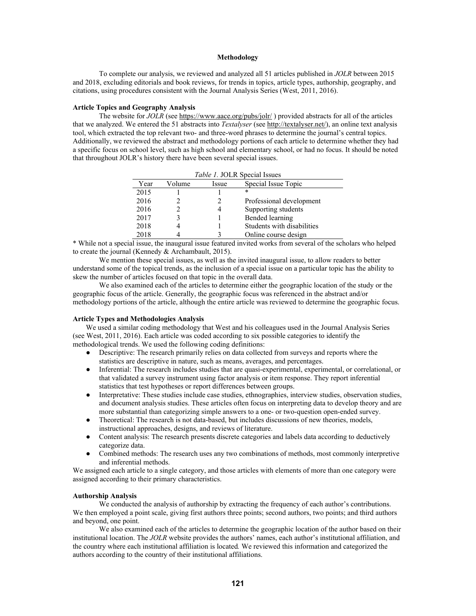## **Methodology**

To complete our analysis, we reviewed and analyzed all 51 articles published in *JOLR* between 2015 and 2018, excluding editorials and book reviews, for trends in topics, article types, authorship, geography, and citations, using procedures consistent with the Journal Analysis Series (West, 2011, 2016).

# **Article Topics and Geography Analysis**

The website for *JOLR* (see https://www.aace.org/pubs/jolr/) provided abstracts for all of the articles that we analyzed. We entered the 51 abstracts into *Textalyser* (see http://textalyser.net/), an online text analysis tool, which extracted the top relevant two- and three-word phrases to determine the journal's central topics. Additionally, we reviewed the abstract and methodology portions of each article to determine whether they had a specific focus on school level, such as high school and elementary school, or had no focus. It should be noted that throughout JOLR's history there have been several special issues.

| Table 1. JOLR Special Issues |        |       |                            |  |
|------------------------------|--------|-------|----------------------------|--|
| Year                         | Volume | Issue | Special Issue Topic        |  |
| 2015                         |        |       | *                          |  |
| 2016                         |        |       | Professional development   |  |
| 2016                         |        |       | Supporting students        |  |
| 2017                         |        |       | Bended learning            |  |
| 2018                         |        |       | Students with disabilities |  |
| 2018                         |        |       | Online course design       |  |

\* While not a special issue, the inaugural issue featured invited works from several of the scholars who helped to create the journal (Kennedy & Archambault, 2015).

We mention these special issues, as well as the invited inaugural issue, to allow readers to better understand some of the topical trends, as the inclusion of a special issue on a particular topic has the ability to skew the number of articles focused on that topic in the overall data.

We also examined each of the articles to determine either the geographic location of the study or the geographic focus of the article. Generally, the geographic focus was referenced in the abstract and/or methodology portions of the article, although the entire article was reviewed to determine the geographic focus.

## **Article Types and Methodologies Analysis**

We used a similar coding methodology that West and his colleagues used in the Journal Analysis Series (see West, 2011, 2016). Each article was coded according to six possible categories to identify the methodological trends. We used the following coding definitions:

- Descriptive: The research primarily relies on data collected from surveys and reports where the statistics are descriptive in nature, such as means, averages, and percentages.
- Inferential: The research includes studies that are quasi-experimental, experimental, or correlational, or that validated a survey instrument using factor analysis or item response. They report inferential statistics that test hypotheses or report differences between groups.
- Interpretative: These studies include case studies, ethnographies, interview studies, observation studies, and document analysis studies. These articles often focus on interpreting data to develop theory and are more substantial than categorizing simple answers to a one- or two-question open-ended survey.
- Theoretical: The research is not data-based, but includes discussions of new theories, models, instructional approaches, designs, and reviews of literature.
- Content analysis: The research presents discrete categories and labels data according to deductively categorize data.
- Combined methods: The research uses any two combinations of methods, most commonly interpretive and inferential methods.

We assigned each article to a single category, and those articles with elements of more than one category were assigned according to their primary characteristics.

# **Authorship Analysis**

We conducted the analysis of authorship by extracting the frequency of each author's contributions. We then employed a point scale, giving first authors three points; second authors, two points; and third authors and beyond, one point.

We also examined each of the articles to determine the geographic location of the author based on their institutional location. The *JOLR* website provides the authors' names, each author's institutional affiliation, and the country where each institutional affiliation is located*.* We reviewed this information and categorized the authors according to the country of their institutional affiliations.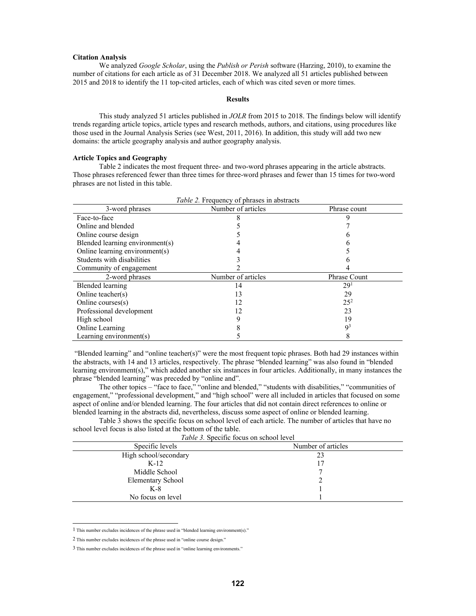### **Citation Analysis**

We analyzed *Google Scholar*, using the *Publish or Perish* software (Harzing, 2010), to examine the number of citations for each article as of 31 December 2018. We analyzed all 51 articles published between 2015 and 2018 to identify the 11 top-cited articles, each of which was cited seven or more times.

# **Results**

This study analyzed 51 articles published in *JOLR* from 2015 to 2018. The findings below will identify trends regarding article topics, article types and research methods, authors, and citations, using procedures like those used in the Journal Analysis Series (see West, 2011, 2016). In addition, this study will add two new domains: the article geography analysis and author geography analysis.

### **Article Topics and Geography**

Table 2 indicates the most frequent three- and two-word phrases appearing in the article abstracts. Those phrases referenced fewer than three times for three-word phrases and fewer than 15 times for two-word phrases are not listed in this table.

| <i>Table 2.</i> Frequency of phrases in abstracts |                    |                     |  |
|---------------------------------------------------|--------------------|---------------------|--|
| 3-word phrases                                    | Number of articles | Phrase count        |  |
| Face-to-face                                      |                    |                     |  |
| Online and blended                                |                    |                     |  |
| Online course design                              |                    |                     |  |
| Blended learning environment(s)                   |                    |                     |  |
| Online learning environment(s)                    |                    |                     |  |
| Students with disabilities                        |                    |                     |  |
| Community of engagement                           |                    |                     |  |
| 2-word phrases                                    | Number of articles | <b>Phrase Count</b> |  |
| Blended learning                                  | 14                 | 2.9 <sup>1</sup>    |  |
| Online teacher(s)                                 | 13                 | 29                  |  |
| Online courses(s)                                 | 12                 | $25^{2}$            |  |
| Professional development                          | 12                 | 23                  |  |
| High school                                       |                    | 19                  |  |
| Online Learning                                   |                    | Q <sup>3</sup>      |  |
| Learning environment(s)                           |                    | ◠                   |  |

 "Blended learning" and "online teacher(s)" were the most frequent topic phrases. Both had 29 instances within the abstracts, with 14 and 13 articles, respectively. The phrase "blended learning" was also found in "blended learning environment(s)," which added another six instances in four articles. Additionally, in many instances the phrase "blended learning" was preceded by "online and".

The other topics – "face to face," "online and blended," "students with disabilities," "communities of engagement," "professional development," and "high school" were all included in articles that focused on some aspect of online and/or blended learning. The four articles that did not contain direct references to online or blended learning in the abstracts did, nevertheless, discuss some aspect of online or blended learning.

Table 3 shows the specific focus on school level of each article. The number of articles that have no school level focus is also listed at the bottom of the table.

|  | Table 3. Specific focus on school level |  |  |  |
|--|-----------------------------------------|--|--|--|
|--|-----------------------------------------|--|--|--|

| Specific levels          | Number of articles |
|--------------------------|--------------------|
| High school/secondary    | 23                 |
| $K-12$                   |                    |
| Middle School            |                    |
| <b>Elementary School</b> |                    |
| $K-8$                    |                    |
| No focus on level        |                    |

<sup>1</sup> This number excludes incidences of the phrase used in "blended learning environment(s)."

<sup>2</sup> This number excludes incidences of the phrase used in "online course design."

<sup>3</sup> This number excludes incidences of the phrase used in "online learning environments."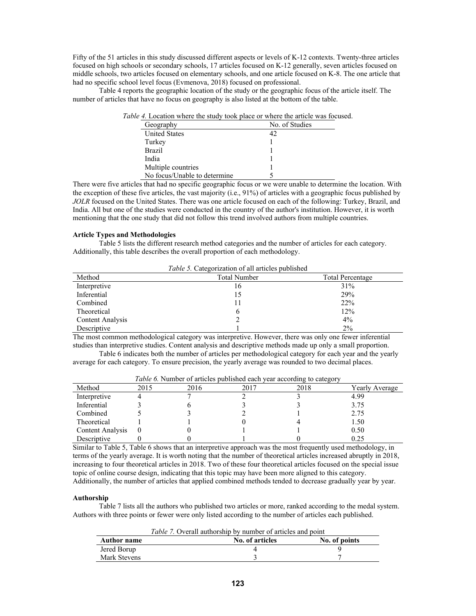Fifty of the 51 articles in this study discussed different aspects or levels of K-12 contexts. Twenty-three articles focused on high schools or secondary schools, 17 articles focused on K-12 generally, seven articles focused on middle schools, two articles focused on elementary schools, and one article focused on K-8. The one article that had no specific school level focus (Evmenova, 2018) focused on professional.

Table 4 reports the geographic location of the study or the geographic focus of the article itself. The number of articles that have no focus on geography is also listed at the bottom of the table.

| Geography                    | No. of Studies |
|------------------------------|----------------|
| <b>United States</b>         |                |
| Turkey                       |                |
| <b>Brazil</b>                |                |
| India                        |                |
| Multiple countries           |                |
| No focus/Unable to determine |                |

There were five articles that had no specific geographic focus or we were unable to determine the location. With the exception of these five articles, the vast majority (i.e., 91%) of articles with a geographic focus published by *JOLR* focused on the United States. There was one article focused on each of the following: Turkey, Brazil, and India. All but one of the studies were conducted in the country of the author's institution. However, it is worth mentioning that the one study that did not follow this trend involved authors from multiple countries.

## **Article Types and Methodologies**

Table 5 lists the different research method categories and the number of articles for each category. Additionally, this table describes the overall proportion of each methodology.

*Table 5.* Categorization of all articles published

| Method                  | <b>Total Number</b> | <b>Total Percentage</b> |
|-------------------------|---------------------|-------------------------|
| Interpretive            | 16                  | 31%                     |
| Inferential             | 15                  | 29%                     |
| Combined                |                     | 22%                     |
| Theoretical             |                     | 12%                     |
| <b>Content Analysis</b> |                     | 4%                      |
| Descriptive             |                     | $2\%$                   |

The most common methodological category was interpretive. However, there was only one fewer inferential studies than interpretive studies. Content analysis and descriptive methods made up only a small proportion.

Table 6 indicates both the number of articles per methodological category for each year and the yearly average for each category. To ensure precision, the yearly average was rounded to two decimal places.

| <i>Tuble 0.</i> INDITIOUT OF articles published each year according to category |      |      |      |      |                |
|---------------------------------------------------------------------------------|------|------|------|------|----------------|
| Method                                                                          | 2015 | 2016 | 2017 | 2018 | Yearly Average |
| Interpretive                                                                    |      |      |      |      | 4.99           |
| Inferential                                                                     |      |      |      |      | 3.75           |
| Combined                                                                        |      |      |      |      | 2.75           |
| Theoretical                                                                     |      |      |      |      | 1.50           |
| <b>Content Analysis</b>                                                         |      |      |      |      | 0.50           |
| Descriptive                                                                     |      |      |      |      | 0.25           |

*Table 6.* Number of articles published each year according to category

Similar to Table 5, Table 6 shows that an interpretive approach was the most frequently used methodology, in terms of the yearly average. It is worth noting that the number of theoretical articles increased abruptly in 2018, increasing to four theoretical articles in 2018. Two of these four theoretical articles focused on the special issue topic of online course design, indicating that this topic may have been more aligned to this category. Additionally, the number of articles that applied combined methods tended to decrease gradually year by year.

#### **Authorship**

Table 7 lists all the authors who published two articles or more, ranked according to the medal system. Authors with three points or fewer were only listed according to the number of articles each published.

| <i>Table 7.</i> Overall authorship by number of articles and point |
|--------------------------------------------------------------------|
|--------------------------------------------------------------------|

| <b>Author name</b> | No. of articles | No. of points |
|--------------------|-----------------|---------------|
| Jered Borup        |                 |               |
| Mark Stevens       |                 |               |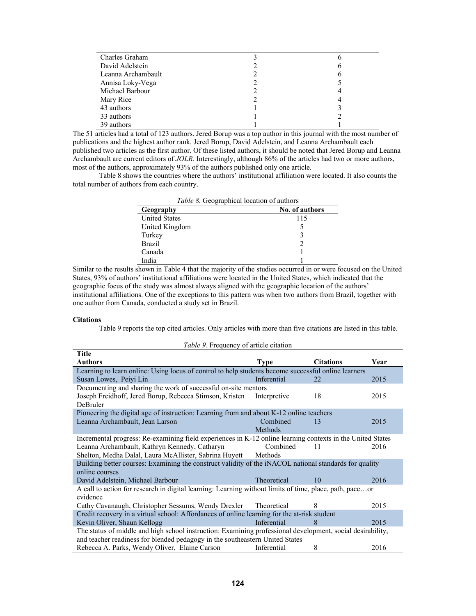| Charles Graham     |   |
|--------------------|---|
| David Adelstein    | n |
| Leanna Archambault | n |
| Annisa Loky-Vega   |   |
| Michael Barbour    |   |
| Mary Rice          |   |
| 43 authors         |   |
| 33 authors         |   |
| 39 authors         |   |

The 51 articles had a total of 123 authors. Jered Borup was a top author in this journal with the most number of publications and the highest author rank. Jered Borup, David Adelstein, and Leanna Archambault each published two articles as the first author. Of these listed authors, it should be noted that Jered Borup and Leanna Archambault are current editors of *JOLR*. Interestingly, although 86% of the articles had two or more authors, most of the authors, approximately 93% of the authors published only one article.

Table 8 shows the countries where the authors' institutional affiliation were located. It also counts the total number of authors from each country.

| Table 8. Geographical location of authors |                |  |  |  |
|-------------------------------------------|----------------|--|--|--|
| Geography                                 | No. of authors |  |  |  |
| <b>United States</b>                      | 115            |  |  |  |
| United Kingdom                            |                |  |  |  |
| Turkey                                    | 3              |  |  |  |
| <b>Brazil</b>                             | 2              |  |  |  |
| Canada                                    |                |  |  |  |
| India                                     |                |  |  |  |

Similar to the results shown in Table 4 that the majority of the studies occurred in or were focused on the United States, 93% of authors' institutional affiliations were located in the United States, which indicated that the geographic focus of the study was almost always aligned with the geographic location of the authors' institutional affiliations. One of the exceptions to this pattern was when two authors from Brazil, together with one author from Canada, conducted a study set in Brazil.

### **Citations**

Table 9 reports the top cited articles. Only articles with more than five citations are listed in this table.

| Title                                                                                                      |              |                  |      |  |
|------------------------------------------------------------------------------------------------------------|--------------|------------------|------|--|
| <b>Authors</b>                                                                                             | Type         | <b>Citations</b> | Year |  |
| Learning to learn online: Using locus of control to help students become successful online learners        |              |                  |      |  |
| Susan Lowes, Peiyi Lin                                                                                     | Inferential  | 22.              | 2015 |  |
| Documenting and sharing the work of successful on-site mentors                                             |              |                  |      |  |
| Joseph Freidhoff, Jered Borup, Rebecca Stimson, Kristen                                                    | Interpretive | 18               | 2015 |  |
| <b>DeBruler</b>                                                                                            |              |                  |      |  |
| Pioneering the digital age of instruction: Learning from and about K-12 online teachers                    |              |                  |      |  |
| Leanna Archambault, Jean Larson                                                                            | Combined     | 13               | 2015 |  |
|                                                                                                            | Methods      |                  |      |  |
| Incremental progress: Re-examining field experiences in K-12 online learning contexts in the United States |              |                  |      |  |
| Leanna Archambault, Kathryn Kennedy, Catharyn                                                              | Combined     | 11               | 2016 |  |
| Shelton, Medha Dalal, Laura McAllister, Sabrina Huyett                                                     | Methods      |                  |      |  |
| Building better courses: Examining the construct validity of the iNACOL national standards for quality     |              |                  |      |  |
| online courses                                                                                             |              |                  |      |  |
| David Adelstein, Michael Barbour                                                                           | Theoretical  | 10               | 2016 |  |
| A call to action for research in digital learning: Learning without limits of time, place, path, paceor    |              |                  |      |  |
| evidence                                                                                                   |              |                  |      |  |
| Cathy Cavanaugh, Christopher Sessums, Wendy Drexler Theoretical                                            |              | 8                | 2015 |  |
| Credit recovery in a virtual school: Affordances of online learning for the at-risk student                |              |                  |      |  |
| Kevin Oliver, Shaun Kellogg                                                                                | Inferential  | 8                | 2015 |  |
| The status of middle and high school instruction: Examining professional development, social desirability, |              |                  |      |  |
| and teacher readiness for blended pedagogy in the southeastern United States                               |              |                  |      |  |
| Rebecca A. Parks, Wendy Oliver, Elaine Carson                                                              | Inferential  | 8                | 2016 |  |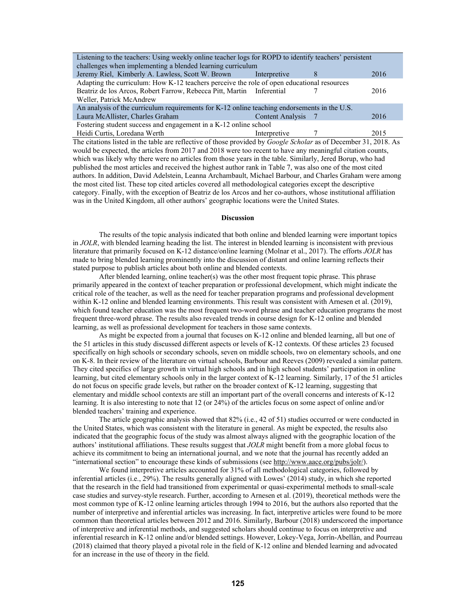| Listening to the teachers: Using weekly online teacher logs for ROPD to identify teachers' persistent |                         |   |      |  |  |
|-------------------------------------------------------------------------------------------------------|-------------------------|---|------|--|--|
| challenges when implementing a blended learning curriculum                                            |                         |   |      |  |  |
| Jeremy Riel, Kimberly A. Lawless, Scott W. Brown                                                      | Interpretive            | 8 | 2016 |  |  |
| Adapting the curriculum: How K-12 teachers perceive the role of open educational resources            |                         |   |      |  |  |
| Beatriz de los Arcos, Robert Farrow, Rebecca Pitt, Martin Inferential                                 |                         |   | 2016 |  |  |
| Weller, Patrick McAndrew                                                                              |                         |   |      |  |  |
| An analysis of the curriculum requirements for K-12 online teaching endorsements in the U.S.          |                         |   |      |  |  |
| Laura McAllister, Charles Graham                                                                      | <b>Content Analysis</b> |   | 2016 |  |  |
| Fostering student success and engagement in a K-12 online school                                      |                         |   |      |  |  |
| Heidi Curtis, Loredana Werth                                                                          | Interpretive            |   | 2015 |  |  |

The citations listed in the table are reflective of those provided by *Google Scholar* as of December 31, 2018. As would be expected, the articles from 2017 and 2018 were too recent to have any meaningful citation counts, which was likely why there were no articles from those years in the table. Similarly, Jered Borup, who had published the most articles and received the highest author rank in Table 7, was also one of the most cited authors. In addition, David Adelstein, Leanna Archambault, Michael Barbour, and Charles Graham were among the most cited list. These top cited articles covered all methodological categories except the descriptive category. Finally, with the exception of Beatriz de los Arcos and her co-authors, whose institutional affiliation was in the United Kingdom, all other authors' geographic locations were the United States.

### **Discussion**

The results of the topic analysis indicated that both online and blended learning were important topics in *JOLR*, with blended learning heading the list. The interest in blended learning is inconsistent with previous literature that primarily focused on K-12 distance/online learning (Molnar et al., 2017). The efforts *JOLR* has made to bring blended learning prominently into the discussion of distant and online learning reflects their stated purpose to publish articles about both online and blended contexts.

After blended learning, online teacher(s) was the other most frequent topic phrase. This phrase primarily appeared in the context of teacher preparation or professional development, which might indicate the critical role of the teacher, as well as the need for teacher preparation programs and professional development within K-12 online and blended learning environments. This result was consistent with Arnesen et al. (2019), which found teacher education was the most frequent two-word phrase and teacher education programs the most frequent three-word phrase. The results also revealed trends in course design for K-12 online and blended learning, as well as professional development for teachers in those same contexts.

As might be expected from a journal that focuses on K-12 online and blended learning, all but one of the 51 articles in this study discussed different aspects or levels of K-12 contexts. Of these articles 23 focused specifically on high schools or secondary schools, seven on middle schools, two on elementary schools, and one on K-8. In their review of the literature on virtual schools, Barbour and Reeves (2009) revealed a similar pattern. They cited specifics of large growth in virtual high schools and in high school students' participation in online learning, but cited elementary schools only in the larger context of K-12 learning. Similarly, 17 of the 51 articles do not focus on specific grade levels, but rather on the broader context of K-12 learning, suggesting that elementary and middle school contexts are still an important part of the overall concerns and interests of K-12 learning. It is also interesting to note that 12 (or 24%) of the articles focus on some aspect of online and/or blended teachers' training and experience.

The article geographic analysis showed that 82% (i.e., 42 of 51) studies occurred or were conducted in the United States, which was consistent with the literature in general. As might be expected, the results also indicated that the geographic focus of the study was almost always aligned with the geographic location of the authors' institutional affiliations. These results suggest that *JOLR* might benefit from a more global focus to achieve its commitment to being an international journal, and we note that the journal has recently added an "international section" to encourage these kinds of submissions (see http://www.aace.org/pubs/jolr/).

We found interpretive articles accounted for 31% of all methodological categories, followed by inferential articles (i.e., 29%). The results generally aligned with Lowes' (2014) study, in which she reported that the research in the field had transitioned from experimental or quasi-experimental methods to small-scale case studies and survey-style research. Further, according to Arnesen et al. (2019), theoretical methods were the most common type of K-12 online learning articles through 1994 to 2016, but the authors also reported that the number of interpretive and inferential articles was increasing. In fact, interpretive articles were found to be more common than theoretical articles between 2012 and 2016. Similarly, Barbour (2018) underscored the importance of interpretive and inferential methods, and suggested scholars should continue to focus on interpretive and inferential research in K-12 online and/or blended settings. However, Lokey-Vega, Jorrín-Abellán, and Pourreau (2018) claimed that theory played a pivotal role in the field of K-12 online and blended learning and advocated for an increase in the use of theory in the field.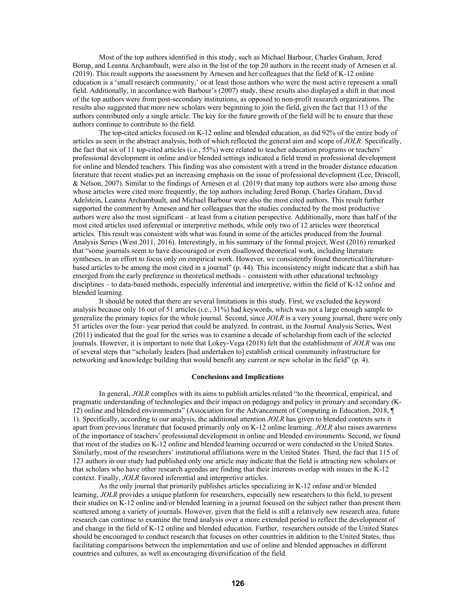Most of the top authors identified in this study, such as Michael Barbour, Charles Graham, Jered Borup, and Leanna Archambault, were also in the list of the top 20 authors in the recent study of Arnesen et al. (2019). This result supports the assessment by Arnesen and her colleagues that the field of K-12 online education is a 'small research community,' or at least those authors who were the most active represent a small field. Additionally, in accordance with Barbour's (2007) study, these results also displayed a shift in that most of the top authors were from post-secondary institutions, as opposed to non-profit research organizations. The results also suggested that more new scholars were beginning to join the field, given the fact that 113 of the authors contributed only a single article. The key for the future growth of the field will be to ensure that these authors continue to contribute to the field.

The top-cited articles focused on K-12 online and blended education, as did 92% of the entire body of articles as seen in the abstract analysis, both of which reflected the general aim and scope of *JOLR*. Specifically, the fact that six of 11 top-cited articles (i.e., 55%) were related to teacher education programs or teachers' professional development in online and/or blended settings indicated a field trend in professional development for online and blended teachers. This finding was also consistent with a trend in the broader distance education literature that recent studies put an increasing emphasis on the issue of professional development (Lee, Driscoll, & Nelson, 2007). Similar to the findings of Arnesen et al. (2019) that many top authors were also among those whose articles were cited more frequently, the top authors including Jered Borup, Charles Graham, David Adelstein, Leanna Archambault, and Michael Barbour were also the most cited authors. This result further supported the comment by Arnesen and her colleagues that the studies conducted by the most productive authors were also the most significant – at least from a citation perspective. Additionally, more than half of the most cited articles used inferential or interpretive methods, while only two of 12 articles were theoretical articles. This result was consistent with what was found in some of the articles produced from the Journal Analysis Series (West 2011, 2016). Interestingly, in his summary of the formal project, West (2016) remarked that "some journals seem to have discouraged or even disallowed theoretical work, including literature syntheses, in an effort to focus only on empirical work. However, we consistently found theoretical/literaturebased articles to be among the most cited in a journal" (p. 44). This inconsistency might indicate that a shift has emerged from the early preference in theoretical methods – consistent with other educational technology disciplines – to data-based methods, especially inferential and interpretive, within the field of K-12 online and blended learning.

It should be noted that there are several limitations in this study. First, we excluded the keyword analysis because only 16 out of 51 articles (i.e., 31%) had keywords, which was not a large enough sample to generalize the primary topics for the whole journal. Second, since *JOLR* is a very young journal, there were only 51 articles over the four- year period that could be analyzed. In contrast, in the Journal Analysis Series, West (2011) indicated that the goal for the series was to examine a decade of scholarship from each of the selected journals. However, it is important to note that Lokey-Vega (2018) felt that the establishment of *JOLR* was one of several steps that "scholarly leaders [had undertaken to] establish critical community infrastructure for networking and knowledge building that would benefit any current or new scholar in the field" (p. 4).

### **Conclusions and Implications**

In general, *JOLR* complies with its aims to publish articles related "to the theoretical, empirical, and pragmatic understanding of technologies and their impact on pedagogy and policy in primary and secondary (K-12) online and blended environments" (Association for the Advancement of Computing in Education, 2018, ¶ 1). Specifically, according to our analysis, the additional attention *JOLR* has given to blended contexts sets it apart from previous literature that focused primarily only on K-12 online learning. *JOLR* also raises awareness of the importance of teachers' professional development in online and blended environments. Second, we found that most of the studies on K-12 online and blended learning occurred or were conducted in the United States. Similarly, most of the researchers' institutional affiliations were in the United States. Third, the fact that 115 of 123 authors in our study had published only one article may indicate that the field is attracting new scholars or that scholars who have other research agendas are finding that their interests overlap with issues in the K-12 context. Finally, *JOLR* favored inferential and interpretive articles.

As the only journal that primarily publishes articles specializing in K-12 online and/or blended learning, *JOLR* provides a unique platform for researchers, especially new researchers to this field, to present their studies on K-12 online and/or blended learning in a journal focused on the subject rather than present them scattered among a variety of journals. However, given that the field is still a relatively new research area, future research can continue to examine the trend analysis over a more extended period to reflect the development of and change in the field of K-12 online and blended education. Further, researchers outside of the United States should be encouraged to conduct research that focuses on other countries in addition to the United States, thus facilitating comparisons between the implementation and use of online and blended approaches in different countries and cultures, as well as encouraging diversification of the field.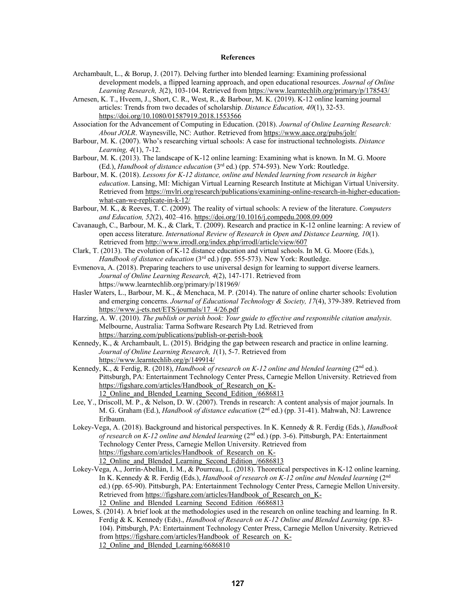### **References**

- Archambault, L., & Borup, J. (2017). Delving further into blended learning: Examining professional development models, a flipped learning approach, and open educational resources. *Journal of Online Learning Research, 3*(2), 103-104. Retrieved from https://www.learntechlib.org/primary/p/178543/
- Arnesen, K. T., Hveem, J., Short, C. R., West, R., & Barbour, M. K. (2019). K-12 online learning journal articles: Trends from two decades of scholarship. *Distance Education, 40*(1), 32-53. https://doi.org/10.1080/01587919.2018.1553566
- Association for the Advancement of Computing in Education. (2018). *Journal of Online Learning Research: About JOLR*. Waynesville, NC: Author. Retrieved from https://www.aace.org/pubs/jolr/
- Barbour, M. K. (2007). Who's researching virtual schools: A case for instructional technologists. *Distance Learning, 4*(1), 7-12.
- Barbour, M. K. (2013). The landscape of K-12 online learning: Examining what is known. In M. G. Moore (Ed.), *Handbook of distance education* (3rd ed.) (pp. 574-593). New York: Routledge.
- Barbour, M. K. (2018). *Lessons for K-12 distance, online and blended learning from research in higher education*. Lansing, MI: Michigan Virtual Learning Research Institute at Michigan Virtual University. Retrieved from https://mvlri.org/research/publications/examining-online-research-in-higher-educationwhat-can-we-replicate-in-k-12/
- Barbour, M. K., & Reeves, T. C. (2009). The reality of virtual schools: A review of the literature. *Computers and Education, 52*(2), 402–416. https://doi.org/10.1016/j.compedu.2008.09.009
- Cavanaugh, C., Barbour, M. K., & Clark, T. (2009). Research and practice in K-12 online learning: A review of open access literature. *International Review of Research in Open and Distance Learning, 10*(1). Retrieved from http://www.irrodl.org/index.php/irrodl/article/view/607
- Clark, T. (2013). The evolution of K-12 distance education and virtual schools. In M. G. Moore (Eds.), *Handbook of distance education* (3rd ed.) (pp. 555-573). New York: Routledge.
- Evmenova, A. (2018). Preparing teachers to use universal design for learning to support diverse learners. *Journal of Online Learning Research, 4*(2), 147-171. Retrieved from https://www.learntechlib.org/primary/p/181969/
- Hasler Waters, L., Barbour, M. K., & Menchaca, M. P. (2014). The nature of online charter schools: Evolution and emerging concerns. *Journal of Educational Technology & Society, 17*(4), 379-389. Retrieved from https://www.j-ets.net/ETS/journals/17\_4/26.pdf
- Harzing, A. W. (2010). *The publish or perish book: Your guide to effective and responsible citation analysis*. Melbourne, Australia: Tarma Software Research Pty Ltd. Retrieved from https://harzing.com/publications/publish-or-perish-book
- Kennedy, K., & Archambault, L. (2015). Bridging the gap between research and practice in online learning. *Journal of Online Learning Research, 1*(1), 5-7. Retrieved from https://www.learntechlib.org/p/149914/
- Kennedy, K., & Ferdig, R. (2018), *Handbook of research on K-12 online and blended learning* (2<sup>nd</sup> ed.). Pittsburgh, PA: Entertainment Technology Center Press, Carnegie Mellon University. Retrieved from https://figshare.com/articles/Handbook\_of\_Research\_on\_K-12 Online and Blended Learning Second Edition /6686813
- Lee, Y., Driscoll, M. P., & Nelson, D. W. (2007). Trends in research: A content analysis of major journals. In M. G. Graham (Ed.), *Handbook of distance education* (2nd ed.) (pp. 31-41). Mahwah, NJ: Lawrence Erlbaum.
- Lokey-Vega, A. (2018). Background and historical perspectives. In K. Kennedy & R. Ferdig (Eds.), *Handbook of research on K-12 online and blended learning* (2nd ed.) (pp. 3-6). Pittsburgh, PA: Entertainment Technology Center Press, Carnegie Mellon University. Retrieved from https://figshare.com/articles/Handbook\_of\_Research\_on\_K-12\_Online\_and\_Blended\_Learning\_Second\_Edition\_/6686813
- Lokey-Vega, A., Jorrín-Abellán, I. M., & Pourreau, L. (2018). Theoretical perspectives in K-12 online learning. In K. Kennedy & R. Ferdig (Eds.), *Handbook of research on K-12 online and blended learning* (2<sup>nd</sup>) ed.) (pp. 65-90). Pittsburgh, PA: Entertainment Technology Center Press, Carnegie Mellon University. Retrieved from https://figshare.com/articles/Handbook\_of\_Research\_on\_K-12 Online and Blended Learning Second Edition /6686813
- Lowes, S. (2014). A brief look at the methodologies used in the research on online teaching and learning. In R. Ferdig & K. Kennedy (Eds)., *Handbook of Research on K-12 Online and Blended Learning* (pp. 83- 104). Pittsburgh, PA: Entertainment Technology Center Press, Carnegie Mellon University. Retrieved from https://figshare.com/articles/Handbook\_of\_Research\_on\_K-12 Online and Blended Learning/6686810